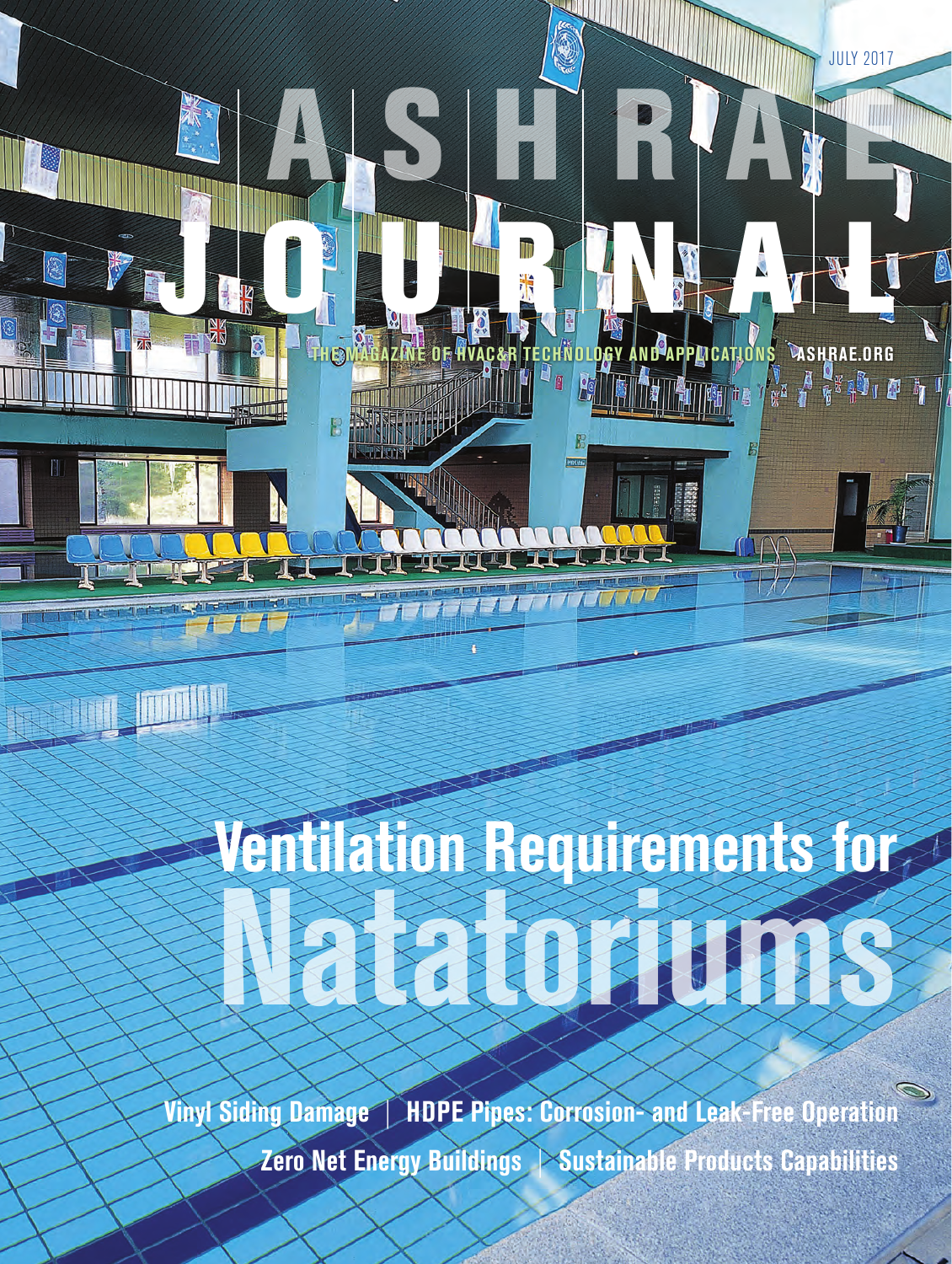# **Natatoriums Ventilation Requirements for**

A S H RIAT

**ACED** 

JULY 2017

THE MAGAZINE OF HVAC&R TECHNOLOGY AND APPLICATIONS **ASHRAE.ORG** 

J O U R N A L

**Vinyl Siding Damage** | **HDPE Pipes: Corrosion- and Leak-Free Operation Zero Net Energy Buildings** | **Sustainable Products Capabilities**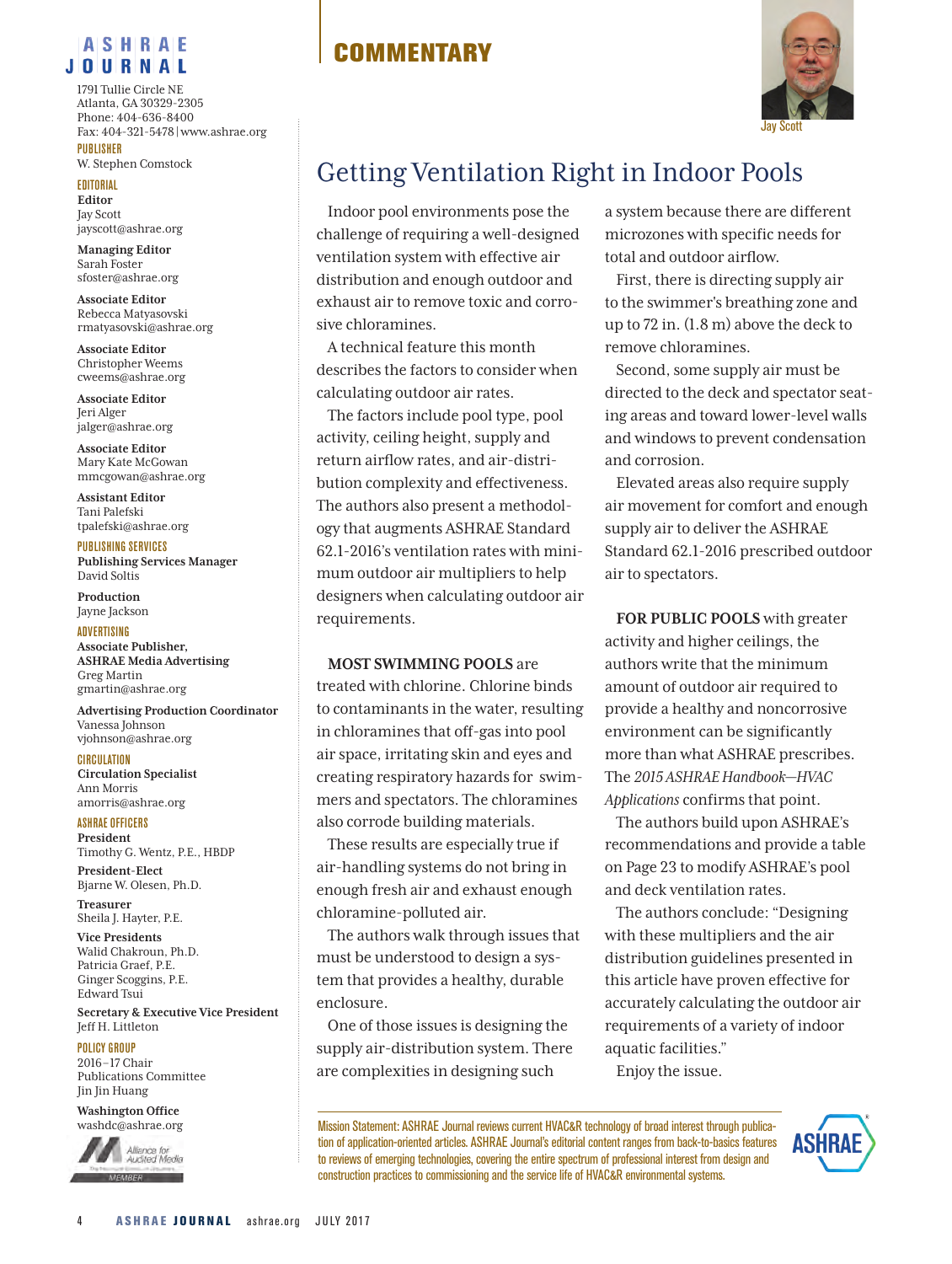#### **ASHRAE JOURNAL**

**PUBLISHER** 1791 Tullie Circle NE Atlanta, GA 30329-2305 Phone: 404-636-8400 Fax: 404-321-5478|www.ashrae.org

W. Stephen Comstock

EDITORIAL **Editor** Jay Scott jayscott@ashrae.org

**Managing Editor** Sarah Foster sfoster@ashrae.org

**Associate Editor** Rebecca Matyasovski rmatyasovski@ashrae.org

**Associate Editor** Christopher Weems cweems@ashrae.org

**Associate Editor** Jeri Alger jalger@ashrae.org

**Associate Editor** Mary Kate McGowan mmcgowan@ashrae.org

**Assistant Editor** Tani Palefski tpalefski@ashrae.org

#### PUBLISHING SERVICES

**Publishing Services Manager**  David Soltis

**Production**  Jayne Jackson

#### **ADVERTISING**

**Associate Publisher, ASHRAE Media Advertising** Greg Martin gmartin@ashrae.org

**Advertising Production Coordinator** Vanessa Johnson vjohnson@ashrae.org

**CIRCULATION** 

**Circulation Specialist** Ann Morris amorris@ashrae.org

ASHRAE OFFICERS **President**  Timothy G. Wentz, P.E., HBDP

**President-Elect**  Bjarne W. Olesen, Ph.D. **Treasurer**

Sheila J. Hayter, P.E. **Vice Presidents**  Walid Chakroun, Ph.D.

Patricia Graef, P.E. Ginger Scoggins, P.E. Edward Tsui

**Secretary & Executive Vice President**  Jeff H. Littleton

#### POLICY GROUP

2016–17 Chair Publications Committee Jin Jin Huang

**Washington Office** washdc@ashrae.org



## **COMMENTARY**



# Getting Ventilation Right in Indoor Pools

Indoor pool environments pose the challenge of requiring a well-designed ventilation system with effective air distribution and enough outdoor and exhaust air to remove toxic and corrosive chloramines.

A technical feature this month describes the factors to consider when calculating outdoor air rates.

The factors include pool type, pool activity, ceiling height, supply and return airflow rates, and air-distribution complexity and effectiveness. The authors also present a methodology that augments ASHRAE Standard 62.1-2016's ventilation rates with minimum outdoor air multipliers to help designers when calculating outdoor air requirements.

#### **MOST SWIMMING POOLS** are

treated with chlorine. Chlorine binds to contaminants in the water, resulting in chloramines that off-gas into pool air space, irritating skin and eyes and creating respiratory hazards for swimmers and spectators. The chloramines also corrode building materials.

These results are especially true if air-handling systems do not bring in enough fresh air and exhaust enough chloramine-polluted air.

The authors walk through issues that must be understood to design a system that provides a healthy, durable enclosure.

One of those issues is designing the supply air-distribution system. There are complexities in designing such

a system because there are different microzones with specific needs for total and outdoor airflow.

First, there is directing supply air to the swimmer's breathing zone and up to 72 in. (1.8 m) above the deck to remove chloramines.

Second, some supply air must be directed to the deck and spectator seating areas and toward lower-level walls and windows to prevent condensation and corrosion.

Elevated areas also require supply air movement for comfort and enough supply air to deliver the ASHRAE Standard 62.1-2016 prescribed outdoor air to spectators.

**FOR PUBLIC POOLS** with greater activity and higher ceilings, the authors write that the minimum amount of outdoor air required to provide a healthy and noncorrosive environment can be significantly more than what ASHRAE prescribes. The *2015 ASHRAE Handbook—HVAC Applications* confirms that point.

The authors build upon ASHRAE's recommendations and provide a table on Page 23 to modify ASHRAE's pool and deck ventilation rates.

The authors conclude: "Designing with these multipliers and the air distribution guidelines presented in this article have proven effective for accurately calculating the outdoor air requirements of a variety of indoor aquatic facilities." Enjoy the issue.

Mission Statement: ASHRAE Journal reviews current HVAC&R technology of broad interest through publication of application-oriented articles. ASHRAE Journal's editorial content ranges from back-to-basics features to reviews of emerging technologies, covering the entire spectrum of professional interest from design and construction practices to commissioning and the service life of HVAC&R environmental systems.

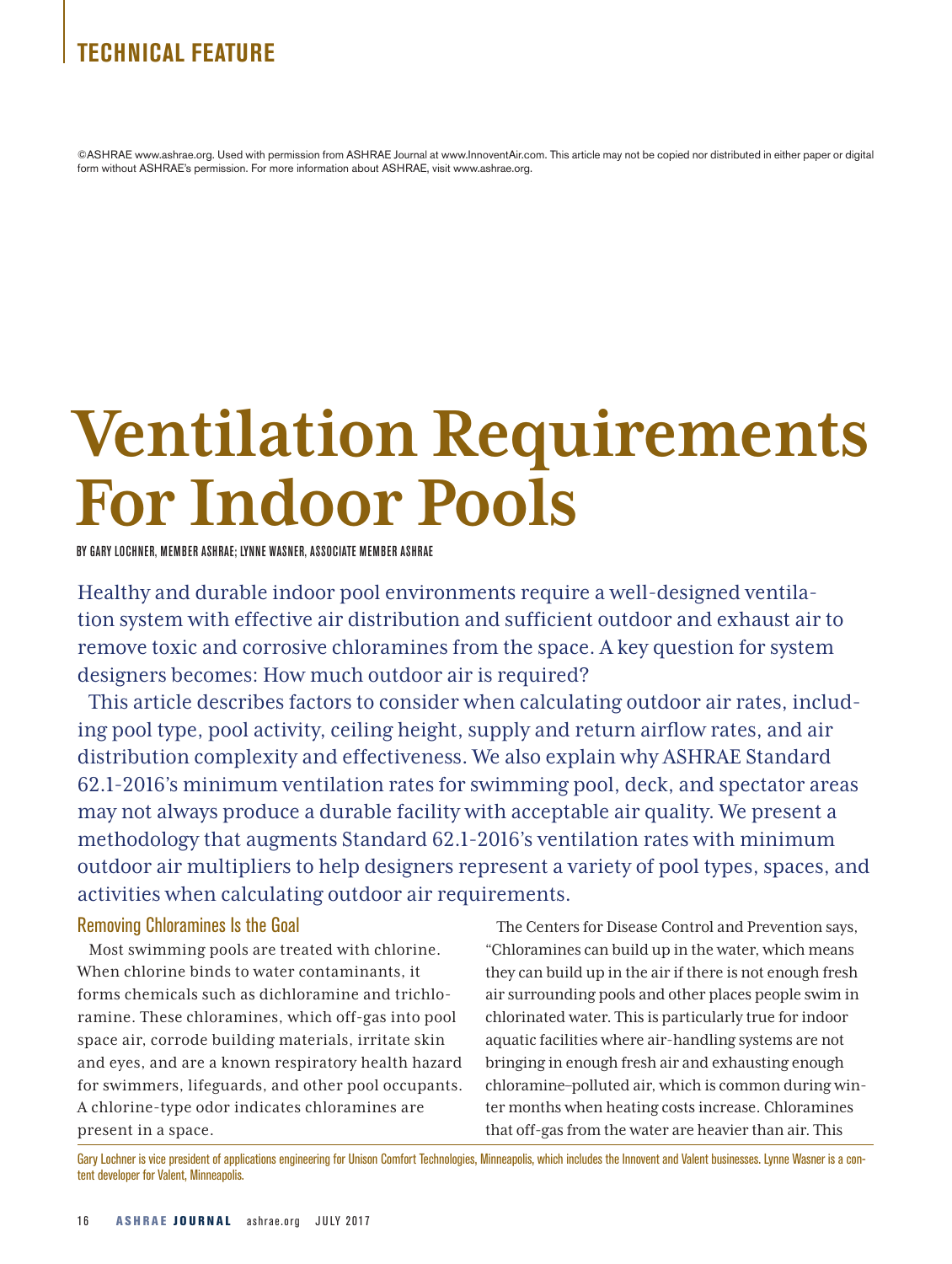### **TECHNICAL FEATURE**

©ASHRAE www.ashrae.org. Used with permission from ASHRAE Journal at www.InnoventAir.com. This article may not be copied nor distributed in either paper or digital form without ASHRAE's permission. For more information about ASHRAE, visit www.ashrae.org.

# **Ventilation Requirements For Indoor Pools**

BY GARY LOCHNER, MEMBER ASHRAE; LYNNE WASNER, ASSOCIATE MEMBER ASHRAE

Healthy and durable indoor pool environments require a well-designed ventilation system with effective air distribution and sufficient outdoor and exhaust air to remove toxic and corrosive chloramines from the space. A key question for system designers becomes: How much outdoor air is required?

This article describes factors to consider when calculating outdoor air rates, including pool type, pool activity, ceiling height, supply and return airflow rates, and air distribution complexity and effectiveness. We also explain why ASHRAE Standard 62.1-2016's minimum ventilation rates for swimming pool, deck, and spectator areas may not always produce a durable facility with acceptable air quality. We present a methodology that augments Standard 62.1-2016's ventilation rates with minimum outdoor air multipliers to help designers represent a variety of pool types, spaces, and activities when calculating outdoor air requirements.

#### Removing Chloramines Is the Goal

Most swimming pools are treated with chlorine. When chlorine binds to water contaminants, it forms chemicals such as dichloramine and trichloramine. These chloramines, which off-gas into pool space air, corrode building materials, irritate skin and eyes, and are a known respiratory health hazard for swimmers, lifeguards, and other pool occupants. A chlorine-type odor indicates chloramines are present in a space.

The Centers for Disease Control and Prevention says, "Chloramines can build up in the water, which means they can build up in the air if there is not enough fresh air surrounding pools and other places people swim in chlorinated water. This is particularly true for indoor aquatic facilities where air-handling systems are not bringing in enough fresh air and exhausting enough chloramine–polluted air, which is common during winter months when heating costs increase. Chloramines that off-gas from the water are heavier than air. This

Gary Lochner is vice president of applications engineering for Unison Comfort Technologies, Minneapolis, which includes the Innovent and Valent businesses. Lynne Wasner is a content developer for Valent, Minneapolis.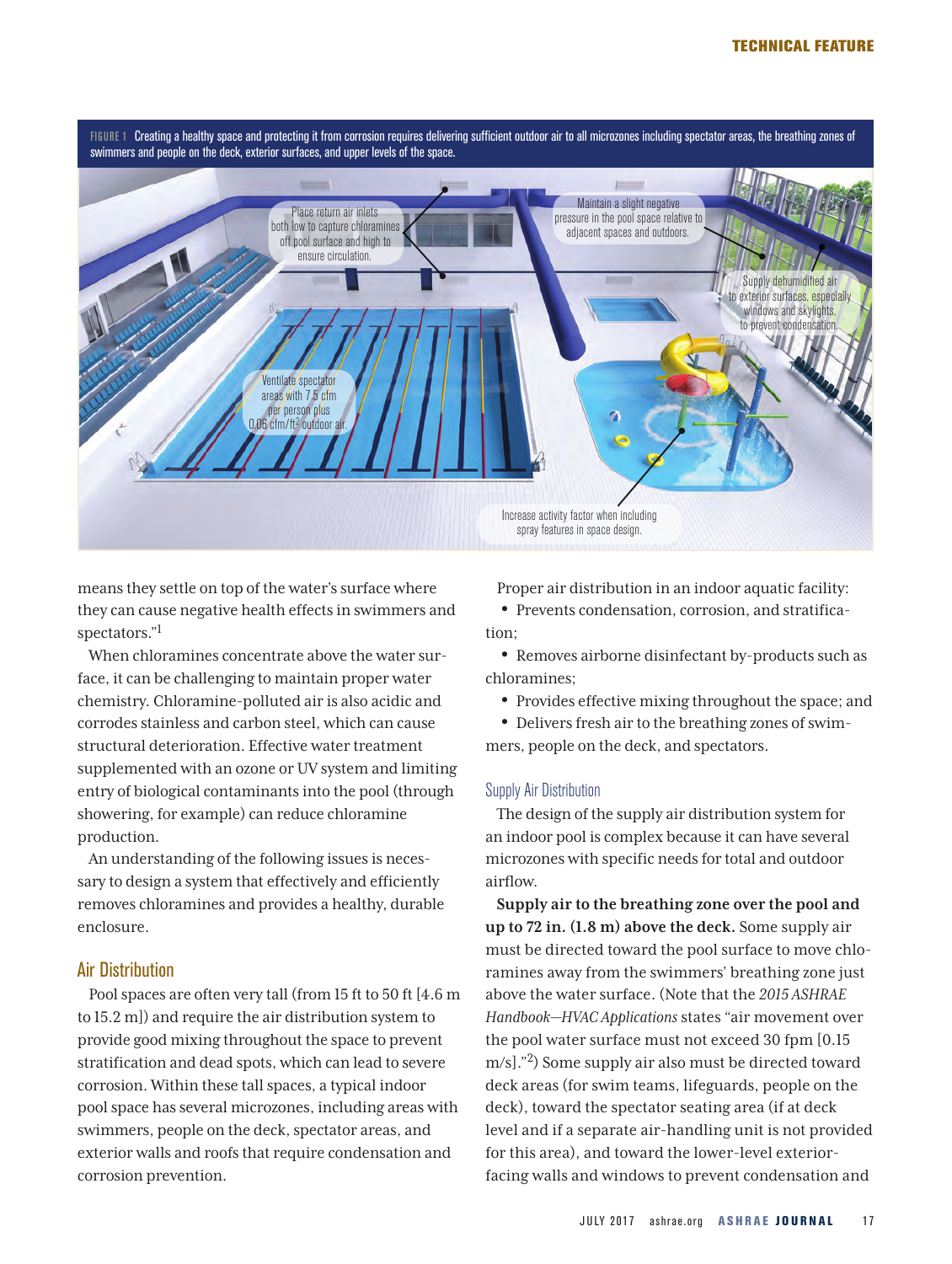

means they settle on top of the water's surface where they can cause negative health effects in swimmers and spectators."1

When chloramines concentrate above the water surface, it can be challenging to maintain proper water chemistry. Chloramine-polluted air is also acidic and corrodes stainless and carbon steel, which can cause structural deterioration. Effective water treatment supplemented with an ozone or UV system and limiting entry of biological contaminants into the pool (through showering, for example) can reduce chloramine production.

An understanding of the following issues is necessary to design a system that effectively and efficiently removes chloramines and provides a healthy, durable enclosure.

#### Air Distribution

Pool spaces are often very tall (from 15 ft to 50 ft [4.6 m to 15.2 m]) and require the air distribution system to provide good mixing throughout the space to prevent stratification and dead spots, which can lead to severe corrosion. Within these tall spaces, a typical indoor pool space has several microzones, including areas with swimmers, people on the deck, spectator areas, and exterior walls and roofs that require condensation and corrosion prevention.

Proper air distribution in an indoor aquatic facility:

• Prevents condensation, corrosion, and stratification;

• Removes airborne disinfectant by-products such as chloramines;

• Provides effective mixing throughout the space; and

• Delivers fresh air to the breathing zones of swimmers, people on the deck, and spectators.

#### Supply Air Distribution

The design of the supply air distribution system for an indoor pool is complex because it can have several microzones with specific needs for total and outdoor airflow.

**Supply air to the breathing zone over the pool and up to 72 in. (1.8 m) above the deck.** Some supply air must be directed toward the pool surface to move chloramines away from the swimmers' breathing zone just above the water surface. (Note that the *2015 ASHRAE Handbook—HVAC Applications* states "air movement over the pool water surface must not exceed 30 fpm [0.15 m/s]."2) Some supply air also must be directed toward deck areas (for swim teams, lifeguards, people on the deck), toward the spectator seating area (if at deck level and if a separate air-handling unit is not provided for this area), and toward the lower-level exteriorfacing walls and windows to prevent condensation and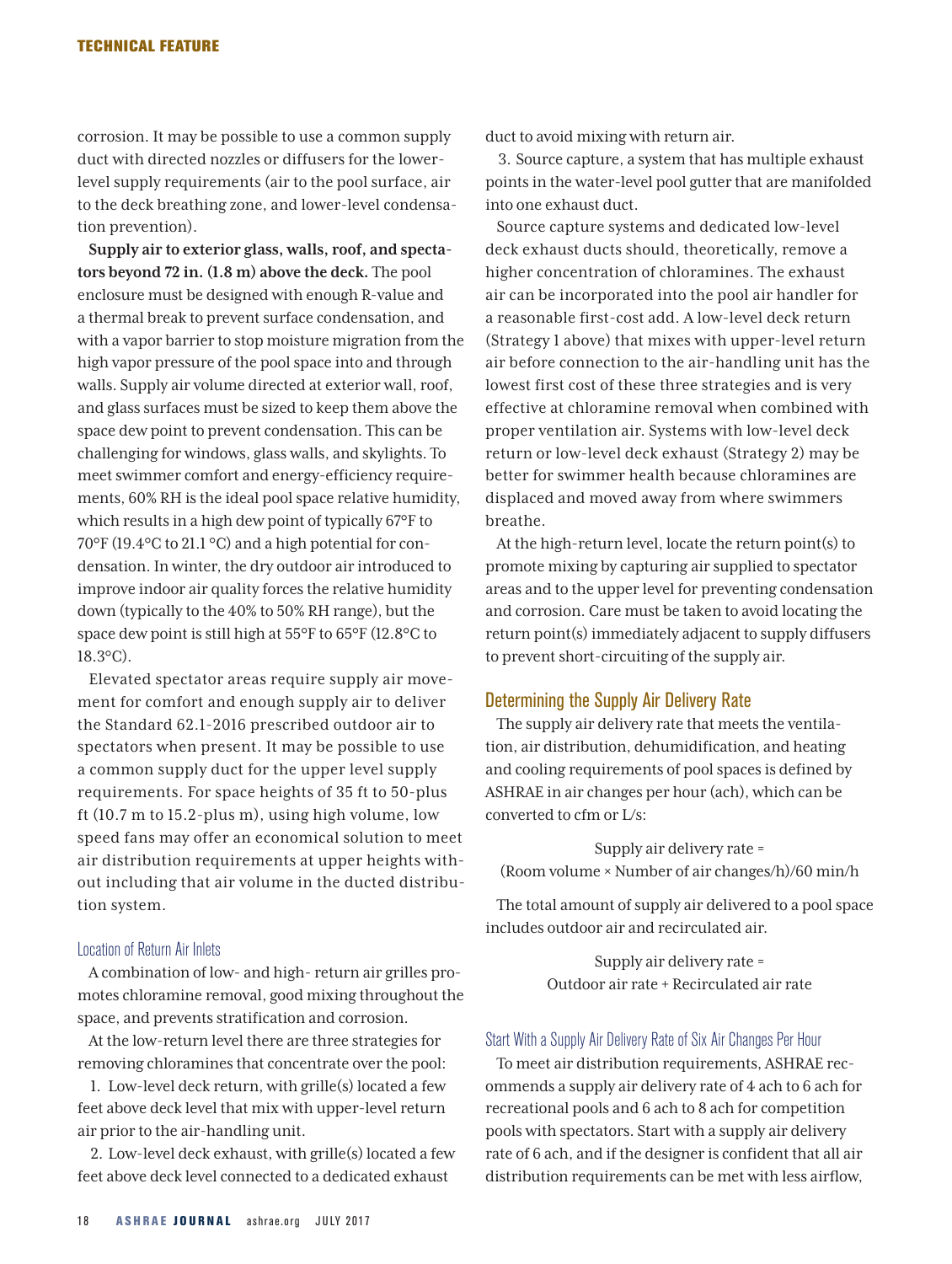corrosion. It may be possible to use a common supply duct with directed nozzles or diffusers for the lowerlevel supply requirements (air to the pool surface, air to the deck breathing zone, and lower-level condensation prevention).

**Supply air to exterior glass, walls, roof, and spectators beyond 72 in. (1.8 m) above the deck.** The pool enclosure must be designed with enough R-value and a thermal break to prevent surface condensation, and with a vapor barrier to stop moisture migration from the high vapor pressure of the pool space into and through walls. Supply air volume directed at exterior wall, roof, and glass surfaces must be sized to keep them above the space dew point to prevent condensation. This can be challenging for windows, glass walls, and skylights. To meet swimmer comfort and energy-efficiency requirements, 60% RH is the ideal pool space relative humidity, which results in a high dew point of typically 67°F to 70°F (19.4°C to 21.1 °C) and a high potential for condensation. In winter, the dry outdoor air introduced to improve indoor air quality forces the relative humidity down (typically to the 40% to 50% RH range), but the space dew point is still high at 55°F to 65°F (12.8°C to 18.3°C).

Elevated spectator areas require supply air movement for comfort and enough supply air to deliver the Standard 62.1-2016 prescribed outdoor air to spectators when present. It may be possible to use a common supply duct for the upper level supply requirements. For space heights of 35 ft to 50-plus ft (10.7 m to 15.2-plus m), using high volume, low speed fans may offer an economical solution to meet air distribution requirements at upper heights without including that air volume in the ducted distribution system.

#### Location of Return Air Inlets

A combination of low- and high- return air grilles promotes chloramine removal, good mixing throughout the space, and prevents stratification and corrosion.

At the low-return level there are three strategies for removing chloramines that concentrate over the pool:

1. Low-level deck return, with grille(s) located a few feet above deck level that mix with upper-level return air prior to the air-handling unit.

2. Low-level deck exhaust, with grille(s) located a few feet above deck level connected to a dedicated exhaust

duct to avoid mixing with return air.

3. Source capture, a system that has multiple exhaust points in the water-level pool gutter that are manifolded into one exhaust duct.

Source capture systems and dedicated low-level deck exhaust ducts should, theoretically, remove a higher concentration of chloramines. The exhaust air can be incorporated into the pool air handler for a reasonable first-cost add. A low-level deck return (Strategy 1 above) that mixes with upper-level return air before connection to the air-handling unit has the lowest first cost of these three strategies and is very effective at chloramine removal when combined with proper ventilation air. Systems with low-level deck return or low-level deck exhaust (Strategy 2) may be better for swimmer health because chloramines are displaced and moved away from where swimmers breathe.

At the high-return level, locate the return point(s) to promote mixing by capturing air supplied to spectator areas and to the upper level for preventing condensation and corrosion. Care must be taken to avoid locating the return point(s) immediately adjacent to supply diffusers to prevent short-circuiting of the supply air.

#### Determining the Supply Air Delivery Rate

The supply air delivery rate that meets the ventilation, air distribution, dehumidification, and heating and cooling requirements of pool spaces is defined by ASHRAE in air changes per hour (ach), which can be converted to cfm or L/s:

Supply air delivery rate = (Room volume × Number of air changes/h)/60 min/h

The total amount of supply air delivered to a pool space includes outdoor air and recirculated air.

> Supply air delivery rate = Outdoor air rate + Recirculated air rate

#### Start With a Supply Air Delivery Rate of Six Air Changes Per Hour

To meet air distribution requirements, ASHRAE recommends a supply air delivery rate of 4 ach to 6 ach for recreational pools and 6 ach to 8 ach for competition pools with spectators. Start with a supply air delivery rate of 6 ach, and if the designer is confident that all air distribution requirements can be met with less airflow,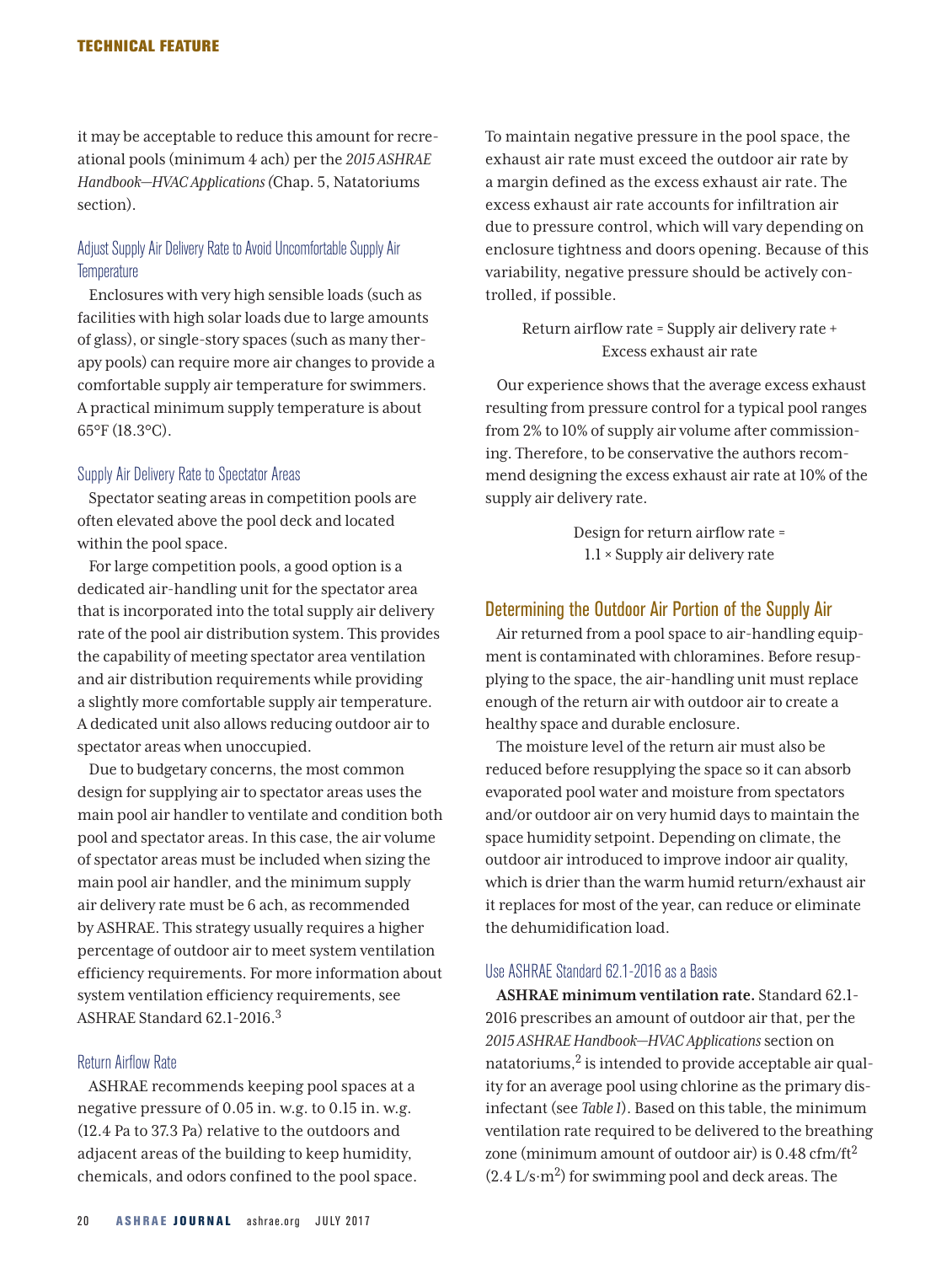it may be acceptable to reduce this amount for recreational pools (minimum 4 ach) per the *2015 ASHRAE Handbook—HVAC Applications (*Chap. 5, Natatoriums section).

#### Adjust Supply Air Delivery Rate to Avoid Uncomfortable Supply Air **Temperature**

Enclosures with very high sensible loads (such as facilities with high solar loads due to large amounts of glass), or single-story spaces (such as many therapy pools) can require more air changes to provide a comfortable supply air temperature for swimmers. A practical minimum supply temperature is about 65°F (18.3°C).

#### Supply Air Delivery Rate to Spectator Areas

Spectator seating areas in competition pools are often elevated above the pool deck and located within the pool space.

For large competition pools, a good option is a dedicated air-handling unit for the spectator area that is incorporated into the total supply air delivery rate of the pool air distribution system. This provides the capability of meeting spectator area ventilation and air distribution requirements while providing a slightly more comfortable supply air temperature. A dedicated unit also allows reducing outdoor air to spectator areas when unoccupied.

Due to budgetary concerns, the most common design for supplying air to spectator areas uses the main pool air handler to ventilate and condition both pool and spectator areas. In this case, the air volume of spectator areas must be included when sizing the main pool air handler, and the minimum supply air delivery rate must be 6 ach, as recommended by ASHRAE. This strategy usually requires a higher percentage of outdoor air to meet system ventilation efficiency requirements. For more information about system ventilation efficiency requirements, see ASHRAE Standard 62.1-2016.3

#### Return Airflow Rate

ASHRAE recommends keeping pool spaces at a negative pressure of 0.05 in. w.g. to 0.15 in. w.g. (12.4 Pa to 37.3 Pa) relative to the outdoors and adjacent areas of the building to keep humidity, chemicals, and odors confined to the pool space. To maintain negative pressure in the pool space, the exhaust air rate must exceed the outdoor air rate by a margin defined as the excess exhaust air rate. The excess exhaust air rate accounts for infiltration air due to pressure control, which will vary depending on enclosure tightness and doors opening. Because of this variability, negative pressure should be actively controlled, if possible.

Return airflow rate = Supply air delivery rate + Excess exhaust air rate

Our experience shows that the average excess exhaust resulting from pressure control for a typical pool ranges from 2% to 10% of supply air volume after commissioning. Therefore, to be conservative the authors recommend designing the excess exhaust air rate at 10% of the supply air delivery rate.

> Design for return airflow rate = 1.1 × Supply air delivery rate

#### Determining the Outdoor Air Portion of the Supply Air

Air returned from a pool space to air-handling equipment is contaminated with chloramines. Before resupplying to the space, the air-handling unit must replace enough of the return air with outdoor air to create a healthy space and durable enclosure.

The moisture level of the return air must also be reduced before resupplying the space so it can absorb evaporated pool water and moisture from spectators and/or outdoor air on very humid days to maintain the space humidity setpoint. Depending on climate, the outdoor air introduced to improve indoor air quality, which is drier than the warm humid return/exhaust air it replaces for most of the year, can reduce or eliminate the dehumidification load.

#### Use ASHRAE Standard 62.1-2016 as a Basis

**ASHRAE minimum ventilation rate.** Standard 62.1- 2016 prescribes an amount of outdoor air that, per the *2015 ASHRAE Handbook—HVAC Applications* section on natatoriums, $2$  is intended to provide acceptable air quality for an average pool using chlorine as the primary disinfectant (see *Table 1*). Based on this table, the minimum ventilation rate required to be delivered to the breathing zone (minimum amount of outdoor air) is  $0.48 \text{ cfm}/\text{ft}^2$  $(2.4 \text{ L/s} \cdot \text{m}^2)$  for swimming pool and deck areas. The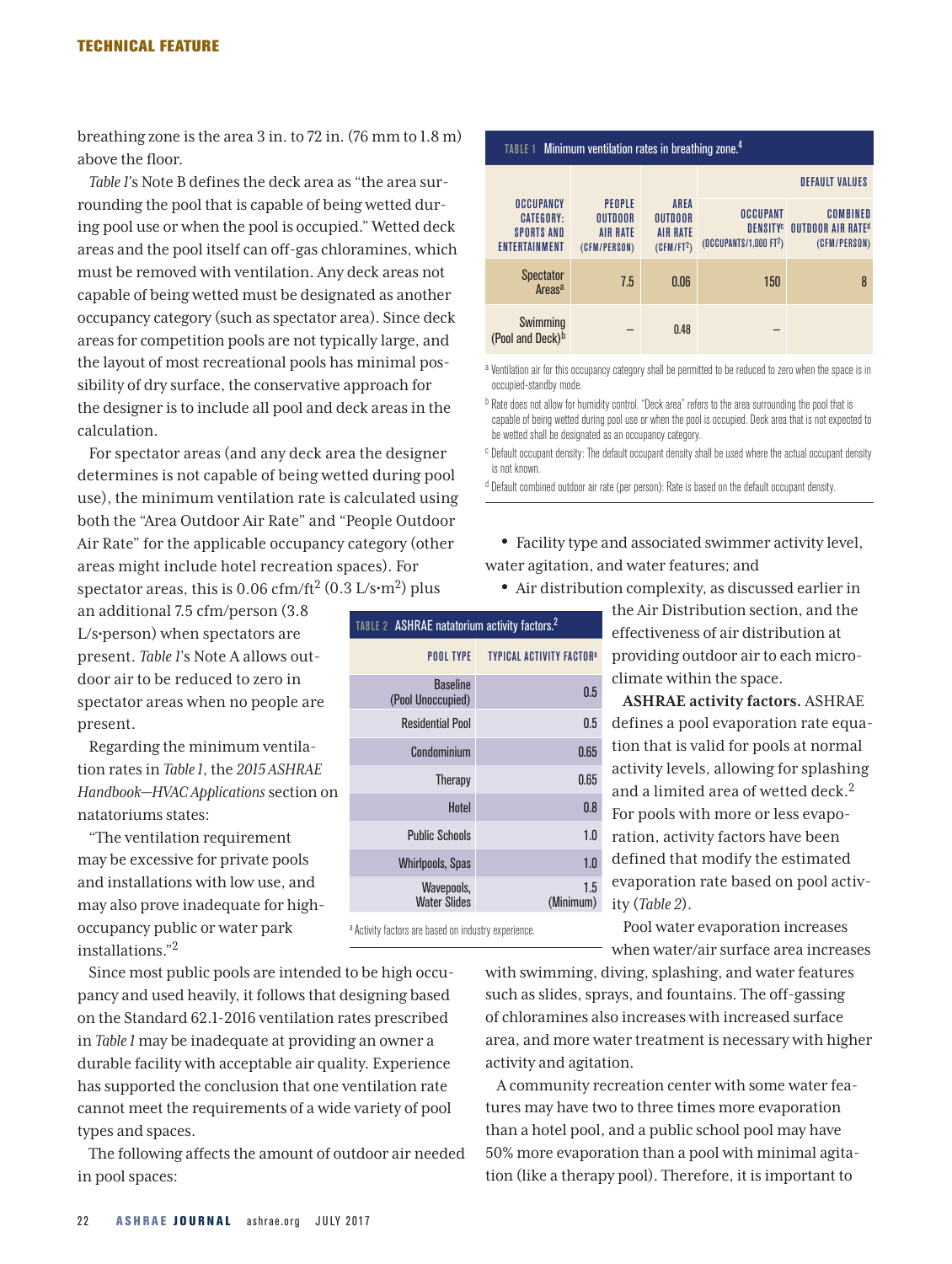breathing zone is the area 3 in. to 72 in. (76 mm to 1.8 m) above the floor.

*Table 1*'s Note B defines the deck area as "the area surrounding the pool that is capable of being wetted during pool use or when the pool is occupied." Wetted deck areas and the pool itself can off-gas chloramines, which must be removed with ventilation. Any deck areas not capable of being wetted must be designated as another occupancy category (such as spectator area). Since deck areas for competition pools are not typically large, and the layout of most recreational pools has minimal possibility of dry surface, the conservative approach for the designer is to include all pool and deck areas in the calculation.

For spectator areas (and any deck area the designer determines is not capable of being wetted during pool use), the minimum ventilation rate is calculated using both the "Area Outdoor Air Rate" and "People Outdoor Air Rate" for the applicable occupancy category (other areas might include hotel recreation spaces). For spectator areas, this is  $0.06 \text{ cfm/ft}^2 (0.3 \text{ L/s} \cdot \text{m}^2)$  plus

TABLE 2 ASHRAE natatorium activity factors.2

Baseline

Wavepools, Water Slides

a Activity factors are based on industry experience.

POOL TYPE TYPICAL ACTIVITY FACTOR<sup>a</sup>

(Pool Unoccupied) 0.5 Residential Pool 0.5 Condominium 0.65 Therapy 0.65 Hotel 0.8

Public Schools **1.0** Whirlpools, Spas **1.0** 

> 1.5 (Minimum)

an additional 7.5 cfm/person (3.8 L/s•person) when spectators are present. *Table 1*'s Note A allows outdoor air to be reduced to zero in spectator areas when no people are present.

Regarding the minimum ventilation rates in *Table 1*, the *2015 ASHRAE Handbook—HVAC Applications* section on natatoriums states:

"The ventilation requirement may be excessive for private pools and installations with low use, and may also prove inadequate for highoccupancy public or water park installations."2

Since most public pools are intended to be high occupancy and used heavily, it follows that designing based on the Standard 62.1-2016 ventilation rates prescribed in *Table 1* may be inadequate at providing an owner a durable facility with acceptable air quality. Experience has supported the conclusion that one ventilation rate cannot meet the requirements of a wide variety of pool types and spaces.

The following affects the amount of outdoor air needed in pool spaces:

| TABLE 1 Minimum ventilation rates in breathing zone. <sup>4</sup>          |                                                             |                                                                            |                                                                         |                                                                  |  |  |  |  |  |
|----------------------------------------------------------------------------|-------------------------------------------------------------|----------------------------------------------------------------------------|-------------------------------------------------------------------------|------------------------------------------------------------------|--|--|--|--|--|
|                                                                            |                                                             |                                                                            | <b>DEFAULT VALUES</b>                                                   |                                                                  |  |  |  |  |  |
| OCCUPANCY<br><b>CATEGORY:</b><br><b>SPORTS AND</b><br><b>ENTERTAINMENT</b> | PEOPLE<br><b>OUTDOOR</b><br><b>AIR RATE</b><br>(CFM/PERSON) | <b>AREA</b><br><b>OUTDOOR</b><br><b>AIR RATE</b><br>(CFM/FT <sup>2</sup> ) | OCCUPANT<br><b>DENSITY</b> <sup>c</sup><br>$(0$ CCUPANTS/1,000 FT $2$ ) | <b>COMBINED</b><br>OUTDOOR AIR RATE <sup>d</sup><br>(CFM/PERSON) |  |  |  |  |  |
| <b>Spectator</b><br>Areas <sup>a</sup>                                     | 7.5                                                         | 0.06                                                                       | 150                                                                     | 8                                                                |  |  |  |  |  |
| Swimming<br>(Pool and Deck) <sup>b</sup>                                   |                                                             | 0.48                                                                       |                                                                         |                                                                  |  |  |  |  |  |

a Ventilation air for this occupancy category shall be permitted to be reduced to zero when the space is in occupied-standby mode.

b Rate does not allow for humidity control. "Deck area" refers to the area surrounding the pool that is capable of being wetted during pool use or when the pool is occupied. Deck area that is not expected to be wetted shall be designated as an occupancy category.

<sup>c</sup> Default occupant density: The default occupant density shall be used where the actual occupant density is not known.

d Default combined outdoor air rate (per person): Rate is based on the default occupant density.

- Facility type and associated swimmer activity level, water agitation, and water features; and
	- Air distribution complexity, as discussed earlier in

the Air Distribution section, and the effectiveness of air distribution at providing outdoor air to each microclimate within the space.

**ASHRAE activity factors.** ASHRAE defines a pool evaporation rate equation that is valid for pools at normal activity levels, allowing for splashing and a limited area of wetted deck. $2$ For pools with more or less evaporation, activity factors have been defined that modify the estimated evaporation rate based on pool activity (*Table 2*).

Pool water evaporation increases when water/air surface area increases

with swimming, diving, splashing, and water features such as slides, sprays, and fountains. The off-gassing of chloramines also increases with increased surface area, and more water treatment is necessary with higher activity and agitation.

A community recreation center with some water features may have two to three times more evaporation than a hotel pool, and a public school pool may have 50% more evaporation than a pool with minimal agitation (like a therapy pool). Therefore, it is important to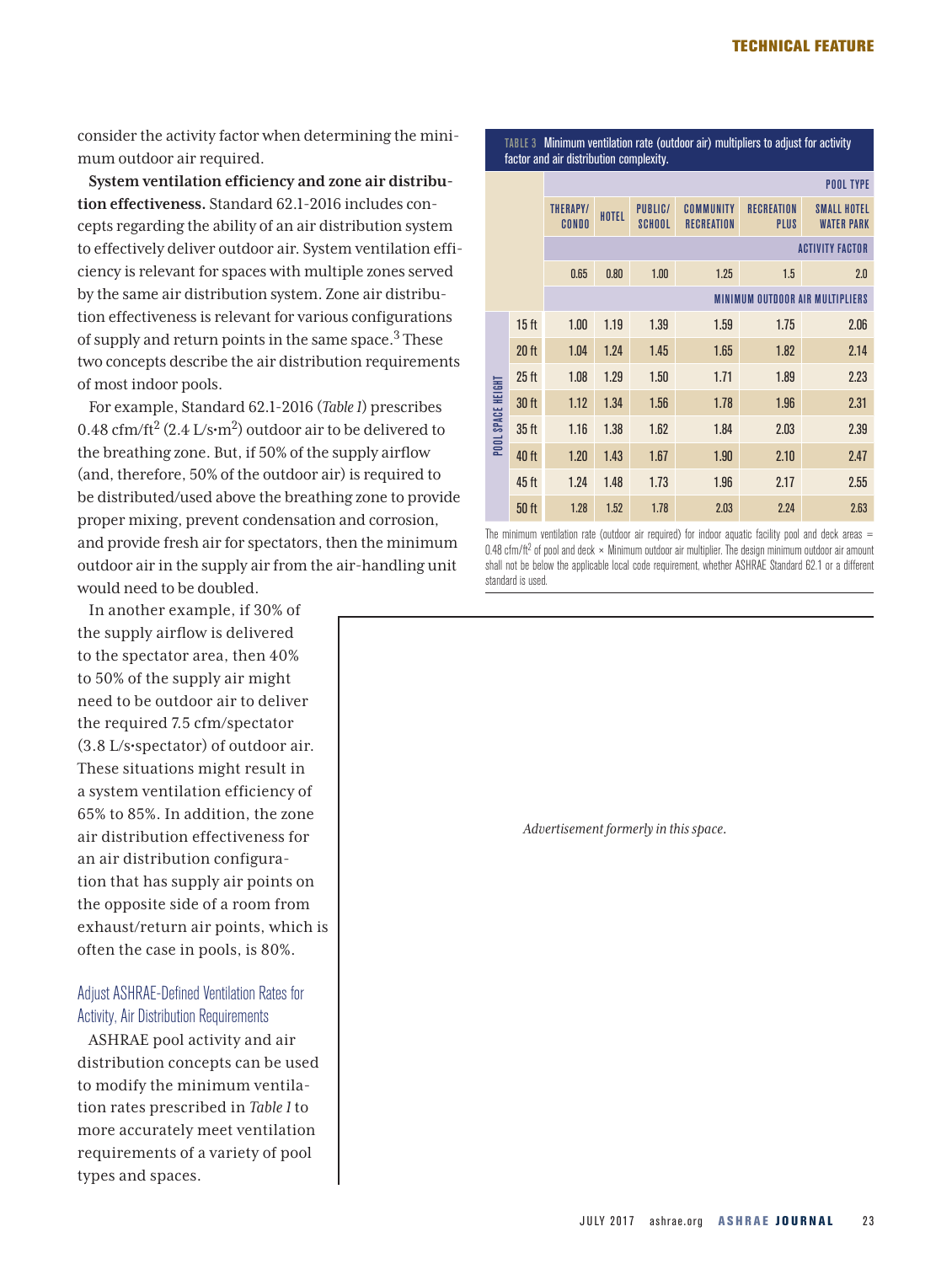consider the activity factor when determining the minimum outdoor air required.

**System ventilation efficiency and zone air distribution effectiveness.** Standard 62.1-2016 includes concepts regarding the ability of an air distribution system to effectively deliver outdoor air. System ventilation efficiency is relevant for spaces with multiple zones served by the same air distribution system. Zone air distribution effectiveness is relevant for various configurations of supply and return points in the same space.3 These two concepts describe the air distribution requirements of most indoor pools.

For example, Standard 62.1-2016 (*Table 1*) prescribes 0.48 cfm/ft<sup>2</sup> (2.4 L/s·m<sup>2</sup>) outdoor air to be delivered to the breathing zone. But, if 50% of the supply airflow (and, therefore, 50% of the outdoor air) is required to be distributed/used above the breathing zone to provide proper mixing, prevent condensation and corrosion, and provide fresh air for spectators, then the minimum outdoor air in the supply air from the air-handling unit would need to be doubled.

In another example, if 30% of the supply airflow is delivered to the spectator area, then 40% to 50% of the supply air might need to be outdoor air to deliver the required 7.5 cfm/spectator (3.8 L/s•spectator) of outdoor air. These situations might result in a system ventilation efficiency of 65% to 85%. In addition, the zone air distribution effectiveness for an air distribution configuration that has supply air points on the opposite side of a room from exhaust/return air points, which is often the case in pools, is 80%.

#### Adjust ASHRAE-Defined Ventilation Rates for Activity, Air Distribution Requirements

ASHRAE pool activity and air distribution concepts can be used to modify the minimum ventilation rates prescribed in *Table 1* to more accurately meet ventilation requirements of a variety of pool types and spaces.

TABLE 3 Minimum ventilation rate (outdoor air) multipliers to adjust for activity factor and air distribution complexity.

|                                 |                  | <b>POOL TYPE</b>                |       |                                 |                                |                           |                                                |  |  |  |
|---------------------------------|------------------|---------------------------------|-------|---------------------------------|--------------------------------|---------------------------|------------------------------------------------|--|--|--|
|                                 |                  | <b>THERAPY/</b><br><b>CONDO</b> | HOTEL | <b>PUBLIC/</b><br><b>SCHOOL</b> | COMMUNITY<br><b>RECREATION</b> | <b>RECREATION</b><br>PLUS | <b>SMALL HOTEL</b><br><b><i>WATER PARK</i></b> |  |  |  |
|                                 |                  | <b>ACTIVITY FACTOR</b>          |       |                                 |                                |                           |                                                |  |  |  |
|                                 |                  | 0.65                            | 0.80  | 1.00                            | 1.25                           | 1.5                       | 2.0                                            |  |  |  |
| MINIMUM OUTDOOR AIR MULTIPLIERS |                  |                                 |       |                                 |                                |                           |                                                |  |  |  |
|                                 | 15 <sub>ft</sub> | 1.00                            | 1.19  | 1.39                            | 1.59                           | 1.75                      | 2.06                                           |  |  |  |
|                                 | 20 <sub>ft</sub> | 1.04                            | 1.24  | 1.45                            | 1.65                           | 1.82                      | 2.14                                           |  |  |  |
|                                 | 25 <sub>ft</sub> | 1.08                            | 1.29  | 1.50                            | 1.71                           | 1.89                      | 2.23                                           |  |  |  |
| POOL SPACE HEIGHT               | 30 <sub>ft</sub> | 1.12                            | 1.34  | 1.56                            | 1.78                           | 1.96                      | 2.31                                           |  |  |  |
|                                 | 35 <sub>ft</sub> | 1.16                            | 1.38  | 1.62                            | 1.84                           | 2.03                      | 2.39                                           |  |  |  |
|                                 | 40 ft            | 1.20                            | 1.43  | 1.67                            | 1.90                           | 2.10                      | 2.47                                           |  |  |  |
|                                 | 45 ft            | 1.24                            | 1.48  | 1.73                            | 1.96                           | 2.17                      | 2.55                                           |  |  |  |
|                                 | 50 <sub>ft</sub> | 1.28                            | 1.52  | 1.78                            | 2.03                           | 2.24                      | 2.63                                           |  |  |  |

The minimum ventilation rate (outdoor air required) for indoor aquatic facility pool and deck areas  $=$  $0.48$  cfm/ft<sup>2</sup> of pool and deck  $\times$  Minimum outdoor air multiplier. The design minimum outdoor air amount shall not be below the applicable local code requirement, whether ASHRAE Standard 62.1 or a different standard is used.

*Advertisement formerly in this space.*